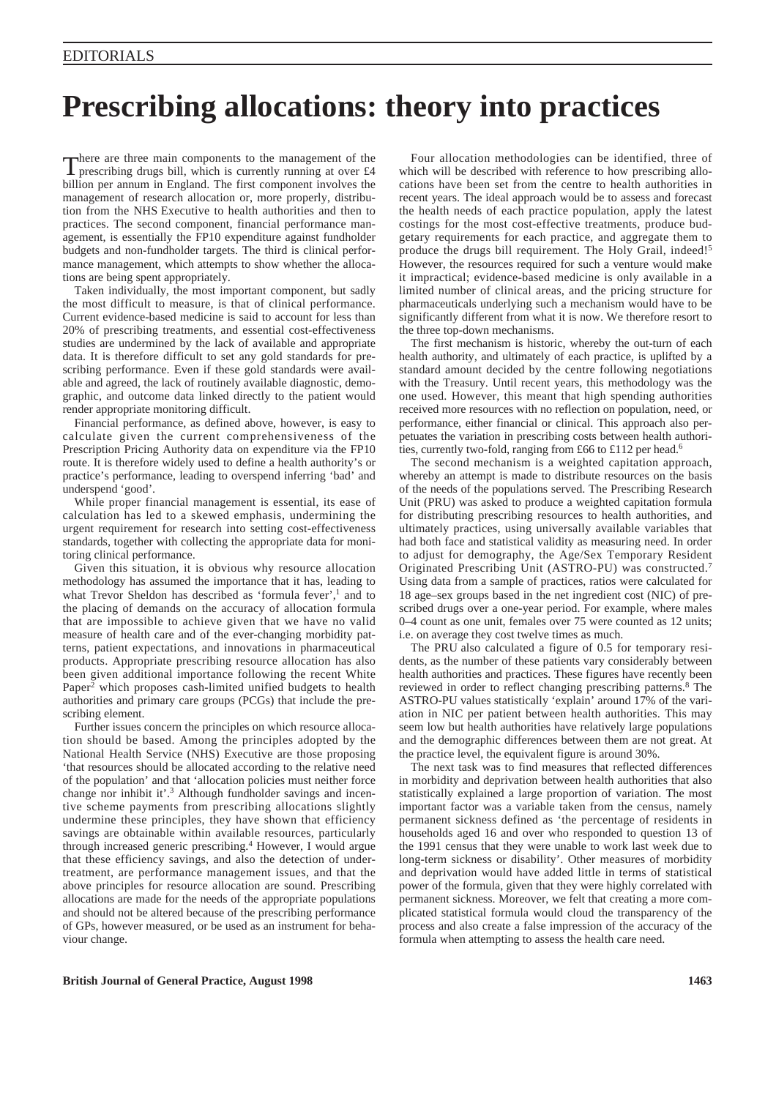# **Prescribing allocations: theory into practices**

There are three main components to the management of the  $\bf{l}$  prescribing drugs bill, which is currently running at over £4 billion per annum in England. The first component involves the management of research allocation or, more properly, distribution from the NHS Executive to health authorities and then to practices. The second component, financial performance management, is essentially the FP10 expenditure against fundholder budgets and non-fundholder targets. The third is clinical performance management, which attempts to show whether the allocations are being spent appropriately.

Taken individually, the most important component, but sadly the most difficult to measure, is that of clinical performance. Current evidence-based medicine is said to account for less than 20% of prescribing treatments, and essential cost-effectiveness studies are undermined by the lack of available and appropriate data. It is therefore difficult to set any gold standards for prescribing performance. Even if these gold standards were available and agreed, the lack of routinely available diagnostic, demographic, and outcome data linked directly to the patient would render appropriate monitoring difficult.

Financial performance, as defined above, however, is easy to calculate given the current comprehensiveness of the Prescription Pricing Authority data on expenditure via the FP10 route. It is therefore widely used to define a health authority's or practice's performance, leading to overspend inferring 'bad' and underspend 'good'.

While proper financial management is essential, its ease of calculation has led to a skewed emphasis, undermining the urgent requirement for research into setting cost-effectiveness standards, together with collecting the appropriate data for monitoring clinical performance.

Given this situation, it is obvious why resource allocation methodology has assumed the importance that it has, leading to what Trevor Sheldon has described as 'formula fever',<sup>1</sup> and to the placing of demands on the accuracy of allocation formula that are impossible to achieve given that we have no valid measure of health care and of the ever-changing morbidity patterns, patient expectations, and innovations in pharmaceutical products. Appropriate prescribing resource allocation has also been given additional importance following the recent White Paper<sup>2</sup> which proposes cash-limited unified budgets to health authorities and primary care groups (PCGs) that include the prescribing element.

Further issues concern the principles on which resource allocation should be based. Among the principles adopted by the National Health Service (NHS) Executive are those proposing 'that resources should be allocated according to the relative need of the population' and that 'allocation policies must neither force change nor inhibit it'.3 Although fundholder savings and incentive scheme payments from prescribing allocations slightly undermine these principles, they have shown that efficiency savings are obtainable within available resources, particularly through increased generic prescribing.<sup>4</sup> However, I would argue that these efficiency savings, and also the detection of undertreatment, are performance management issues, and that the above principles for resource allocation are sound. Prescribing allocations are made for the needs of the appropriate populations and should not be altered because of the prescribing performance of GPs, however measured, or be used as an instrument for behaviour change.

Four allocation methodologies can be identified, three of which will be described with reference to how prescribing allocations have been set from the centre to health authorities in recent years. The ideal approach would be to assess and forecast the health needs of each practice population, apply the latest costings for the most cost-effective treatments, produce budgetary requirements for each practice, and aggregate them to produce the drugs bill requirement. The Holy Grail, indeed!<sup>5</sup> However, the resources required for such a venture would make it impractical; evidence-based medicine is only available in a limited number of clinical areas, and the pricing structure for pharmaceuticals underlying such a mechanism would have to be significantly different from what it is now. We therefore resort to the three top-down mechanisms.

The first mechanism is historic, whereby the out-turn of each health authority, and ultimately of each practice, is uplifted by a standard amount decided by the centre following negotiations with the Treasury. Until recent years, this methodology was the one used. However, this meant that high spending authorities received more resources with no reflection on population, need, or performance, either financial or clinical. This approach also perpetuates the variation in prescribing costs between health authorities, currently two-fold, ranging from £66 to £112 per head.<sup>6</sup>

The second mechanism is a weighted capitation approach, whereby an attempt is made to distribute resources on the basis of the needs of the populations served. The Prescribing Research Unit (PRU) was asked to produce a weighted capitation formula for distributing prescribing resources to health authorities, and ultimately practices, using universally available variables that had both face and statistical validity as measuring need. In order to adjust for demography, the Age/Sex Temporary Resident Originated Prescribing Unit (ASTRO-PU) was constructed.7 Using data from a sample of practices, ratios were calculated for 18 age–sex groups based in the net ingredient cost (NIC) of prescribed drugs over a one-year period. For example, where males 0–4 count as one unit, females over 75 were counted as 12 units; i.e. on average they cost twelve times as much.

The PRU also calculated a figure of 0.5 for temporary residents, as the number of these patients vary considerably between health authorities and practices. These figures have recently been reviewed in order to reflect changing prescribing patterns.8 The ASTRO-PU values statistically 'explain' around 17% of the variation in NIC per patient between health authorities. This may seem low but health authorities have relatively large populations and the demographic differences between them are not great. At the practice level, the equivalent figure is around 30%.

The next task was to find measures that reflected differences in morbidity and deprivation between health authorities that also statistically explained a large proportion of variation. The most important factor was a variable taken from the census, namely permanent sickness defined as 'the percentage of residents in households aged 16 and over who responded to question 13 of the 1991 census that they were unable to work last week due to long-term sickness or disability'. Other measures of morbidity and deprivation would have added little in terms of statistical power of the formula, given that they were highly correlated with permanent sickness. Moreover, we felt that creating a more complicated statistical formula would cloud the transparency of the process and also create a false impression of the accuracy of the formula when attempting to assess the health care need.

# **British Journal of General Practice, August 1998 1463**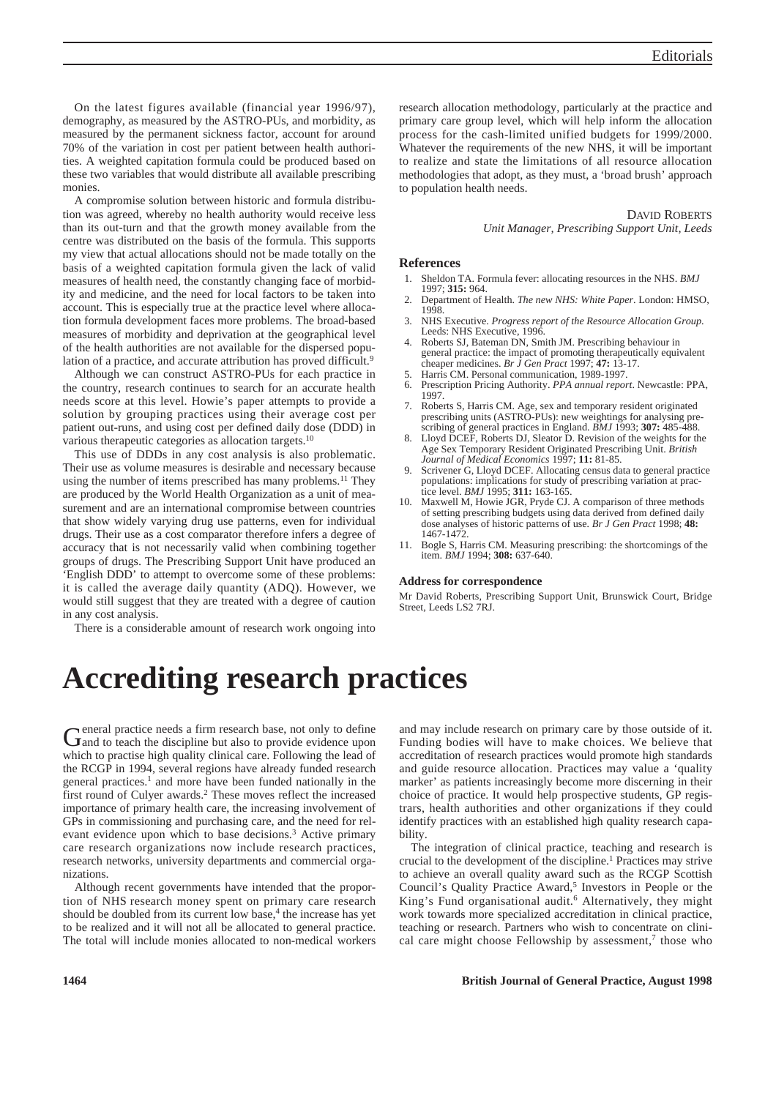On the latest figures available (financial year 1996/97), demography, as measured by the ASTRO-PUs, and morbidity, as measured by the permanent sickness factor, account for around 70% of the variation in cost per patient between health authorities. A weighted capitation formula could be produced based on these two variables that would distribute all available prescribing monies.

A compromise solution between historic and formula distribution was agreed, whereby no health authority would receive less than its out-turn and that the growth money available from the centre was distributed on the basis of the formula. This supports my view that actual allocations should not be made totally on the basis of a weighted capitation formula given the lack of valid measures of health need, the constantly changing face of morbidity and medicine, and the need for local factors to be taken into account. This is especially true at the practice level where allocation formula development faces more problems. The broad-based measures of morbidity and deprivation at the geographical level of the health authorities are not available for the dispersed population of a practice, and accurate attribution has proved difficult.<sup>9</sup>

Although we can construct ASTRO-PUs for each practice in the country, research continues to search for an accurate health needs score at this level. Howie's paper attempts to provide a solution by grouping practices using their average cost per patient out-runs, and using cost per defined daily dose (DDD) in various therapeutic categories as allocation targets.<sup>10</sup>

This use of DDDs in any cost analysis is also problematic. Their use as volume measures is desirable and necessary because using the number of items prescribed has many problems.<sup>11</sup> They are produced by the World Health Organization as a unit of measurement and are an international compromise between countries that show widely varying drug use patterns, even for individual drugs. Their use as a cost comparator therefore infers a degree of accuracy that is not necessarily valid when combining together groups of drugs. The Prescribing Support Unit have produced an 'English DDD' to attempt to overcome some of these problems: it is called the average daily quantity (ADQ). However, we would still suggest that they are treated with a degree of caution in any cost analysis.

There is a considerable amount of research work ongoing into

research allocation methodology, particularly at the practice and primary care group level, which will help inform the allocation process for the cash-limited unified budgets for 1999/2000. Whatever the requirements of the new NHS, it will be important to realize and state the limitations of all resource allocation methodologies that adopt, as they must, a 'broad brush' approach to population health needs.

DAVID ROBERTS

#### *Unit Manager, Prescribing Support Unit, Leeds*

## **References**

- 1. Sheldon TA. Formula fever: allocating resources in the NHS. *BMJ* 1997; **315:** 964.
- 2. Department of Health. *The new NHS: White Paper*. London: HMSO, 1998.
- 3. NHS Executive. *Progress report of the Resource Allocation Group*. Leeds: NHS Executive, 1996.
- 4. Roberts SJ, Bateman DN, Smith JM. Prescribing behaviour in general practice: the impact of promoting therapeutically equivalent cheaper medicines. *Br J Gen Pract* 1997; **47:** 13-17.
- 5. Harris CM. Personal communication, 1989-1997.
- 6. Prescription Pricing Authority. *PPA annual report*. Newcastle: PPA, 1997.
- 7. Roberts S, Harris CM. Age, sex and temporary resident originated prescribing units (ASTRO-PUs): new weightings for analysing prescribing of general practices in England. *BMJ* 1993; **307:** 485-488.
- Lloyd DCEF, Roberts DJ, Sleator D. Revision of the weights for the Age Sex Temporary Resident Originated Prescribing Unit. *British Journal of Medical Economics* 1997; **11:** 81-85.
- Scrivener G, Lloyd DCEF. Allocating census data to general practice populations: implications for study of prescribing variation at practice level. *BMJ* 1995; **311:** 163-165.
- 10. Maxwell M, Howie JGR, Pryde CJ. A comparison of three methods of setting prescribing budgets using data derived from defined daily dose analyses of historic patterns of use*. Br J Gen Pract* 1998; **48:** 1467-1472.
- 11. Bogle S, Harris CM. Measuring prescribing: the shortcomings of the item. *BMJ* 1994; **308:** 637-640.

#### **Address for correspondence**

Mr David Roberts, Prescribing Support Unit, Brunswick Court, Bridge Street, Leeds LS2 7RJ.

# **Accrediting research practices**

General practice needs a firm research base, not only to define and to teach the discipline but also to provide evidence upon which to practise high quality clinical care. Following the lead of the RCGP in 1994, several regions have already funded research general practices.1 and more have been funded nationally in the first round of Culyer awards.2 These moves reflect the increased importance of primary health care, the increasing involvement of GPs in commissioning and purchasing care, and the need for relevant evidence upon which to base decisions.3 Active primary care research organizations now include research practices, research networks, university departments and commercial organizations.

Although recent governments have intended that the proportion of NHS research money spent on primary care research should be doubled from its current low base,<sup>4</sup> the increase has yet to be realized and it will not all be allocated to general practice. The total will include monies allocated to non-medical workers

and may include research on primary care by those outside of it. Funding bodies will have to make choices. We believe that accreditation of research practices would promote high standards and guide resource allocation. Practices may value a 'quality marker' as patients increasingly become more discerning in their choice of practice. It would help prospective students, GP registrars, health authorities and other organizations if they could identify practices with an established high quality research capability.

The integration of clinical practice, teaching and research is crucial to the development of the discipline.1 Practices may strive to achieve an overall quality award such as the RCGP Scottish Council's Quality Practice Award,<sup>5</sup> Investors in People or the King's Fund organisational audit.<sup>6</sup> Alternatively, they might work towards more specialized accreditation in clinical practice, teaching or research. Partners who wish to concentrate on clinical care might choose Fellowship by assessment, $\alpha$ <sup>7</sup> those who